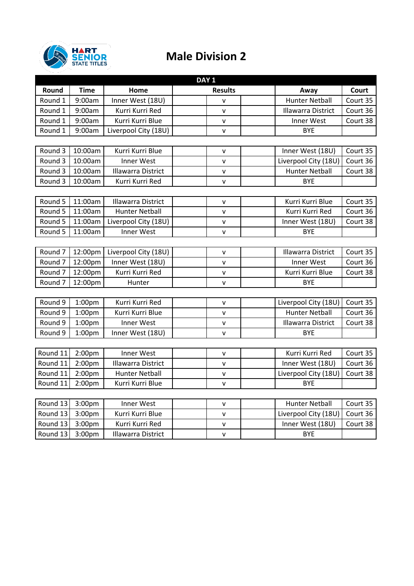

## **Male Division 2**

| DAY <sub>1</sub>   |                    |                           |                |                           |          |  |  |  |  |
|--------------------|--------------------|---------------------------|----------------|---------------------------|----------|--|--|--|--|
| Round              | <b>Time</b>        | Home                      | <b>Results</b> | Away                      | Court    |  |  |  |  |
| Round 1            | 9:00am             | Inner West (18U)          | $\mathsf{v}$   | <b>Hunter Netball</b>     | Court 35 |  |  |  |  |
| Round 1            | 9:00am             | Kurri Kurri Red           | $\mathsf{v}$   | <b>Illawarra District</b> | Court 36 |  |  |  |  |
| Round 1            | 9:00am             | Kurri Kurri Blue          | $\mathsf{v}$   | Inner West                | Court 38 |  |  |  |  |
| Round 1            | 9:00am             | Liverpool City (18U)      | $\mathsf{v}$   | <b>BYE</b>                |          |  |  |  |  |
|                    |                    |                           |                |                           |          |  |  |  |  |
| Round 3            | 10:00am            | Kurri Kurri Blue          | $\mathsf{v}$   | Inner West (18U)          | Court 35 |  |  |  |  |
| Round 3            | 10:00am            | <b>Inner West</b>         | v              | Liverpool City (18U)      | Court 36 |  |  |  |  |
| Round 3            | 10:00am            | <b>Illawarra District</b> | $\mathsf{v}$   | <b>Hunter Netball</b>     | Court 38 |  |  |  |  |
| Round 3            | 10:00am            | Kurri Kurri Red           | $\mathsf{v}$   | <b>BYE</b>                |          |  |  |  |  |
|                    |                    |                           |                |                           |          |  |  |  |  |
| Round 5            | 11:00am            | <b>Illawarra District</b> | $\mathsf{v}$   | Kurri Kurri Blue          | Court 35 |  |  |  |  |
| Round 5            | 11:00am            | <b>Hunter Netball</b>     | v              | Kurri Kurri Red           | Court 36 |  |  |  |  |
| Round 5            | 11:00am            | Liverpool City (18U)      | $\mathsf{v}$   | Inner West (18U)          | Court 38 |  |  |  |  |
| Round 5            | 11:00am            | <b>Inner West</b>         | $\mathsf{v}$   | <b>BYE</b>                |          |  |  |  |  |
|                    |                    |                           |                |                           |          |  |  |  |  |
| Round <sub>7</sub> | 12:00pm            | Liverpool City (18U)      | $\mathsf{v}$   | <b>Illawarra District</b> | Court 35 |  |  |  |  |
| Round <sub>7</sub> | 12:00pm            | Inner West (18U)          | v              | <b>Inner West</b>         | Court 36 |  |  |  |  |
| Round <sub>7</sub> | 12:00pm            | Kurri Kurri Red           | $\mathsf{v}$   | Kurri Kurri Blue          | Court 38 |  |  |  |  |
| Round <sub>7</sub> | 12:00pm            | Hunter                    | v              | <b>BYE</b>                |          |  |  |  |  |
|                    |                    |                           |                |                           |          |  |  |  |  |
| Round 9            | 1:00pm             | Kurri Kurri Red           | $\mathsf{v}$   | Liverpool City (18U)      | Court 35 |  |  |  |  |
| Round 9            | 1:00 <sub>pm</sub> | Kurri Kurri Blue          | $\mathsf{v}$   | <b>Hunter Netball</b>     | Court 36 |  |  |  |  |
| Round 9            | 1:00pm             | Inner West                | $\mathsf{v}$   | <b>Illawarra District</b> | Court 38 |  |  |  |  |
| Round 9            | 1:00 <sub>pm</sub> | Inner West (18U)          | $\mathsf{v}$   | <b>BYE</b>                |          |  |  |  |  |
|                    |                    |                           |                |                           |          |  |  |  |  |
| Round 11           | 2:00 <sub>pm</sub> | <b>Inner West</b>         | $\mathsf{v}$   | Kurri Kurri Red           | Court 35 |  |  |  |  |
| Round 11           | 2:00 <sub>pm</sub> | <b>Illawarra District</b> | $\mathsf{v}$   | Inner West (18U)          | Court 36 |  |  |  |  |
| Round 11           | 2:00pm             | <b>Hunter Netball</b>     | V              | Liverpool City (18U)      | Court 38 |  |  |  |  |
| Round 11           | 2:00 <sub>pm</sub> | Kurri Kurri Blue          | $\mathsf{v}$   | <b>BYE</b>                |          |  |  |  |  |
|                    |                    |                           |                |                           |          |  |  |  |  |
| Round 13           | 3:00pm             | Inner West                | $\mathsf{v}$   | <b>Hunter Netball</b>     | Court 35 |  |  |  |  |
| Round 13           | 3:00 <sub>pm</sub> | Kurri Kurri Blue          | v              | Liverpool City (18U)      | Court 36 |  |  |  |  |
| Round 13           | 3:00 <sub>pm</sub> | Kurri Kurri Red           | $\mathsf{v}$   | Inner West (18U)          | Court 38 |  |  |  |  |
| Round 13           | 3:00 <sub>pm</sub> | <b>Illawarra District</b> | $\mathsf{V}$   | <b>BYE</b>                |          |  |  |  |  |